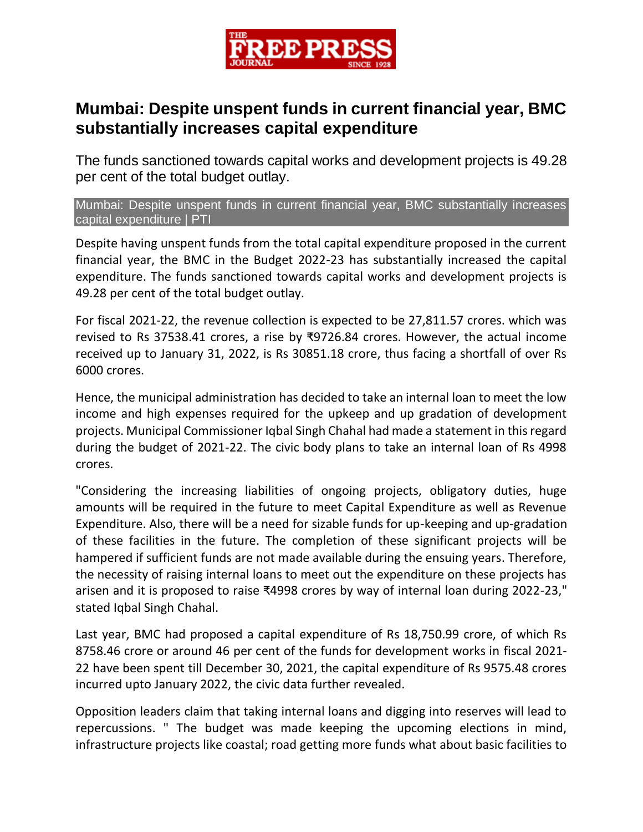

## **Mumbai: Despite unspent funds in current financial year, BMC substantially increases capital expenditure**

The funds sanctioned towards capital works and development projects is 49.28 per cent of the total budget outlay.

Mumbai: Despite unspent funds in current financial year, BMC substantially increases capital expenditure | PTI

Despite having unspent funds from the total capital expenditure proposed in the current financial year, the BMC in the Budget 2022-23 has substantially increased the capital expenditure. The funds sanctioned towards capital works and development projects is 49.28 per cent of the total budget outlay.

For fiscal 2021-22, the revenue collection is expected to be 27,811.57 crores. which was revised to Rs 37538.41 crores, a rise by ₹9726.84 crores. However, the actual income received up to January 31, 2022, is Rs 30851.18 crore, thus facing a shortfall of over Rs 6000 crores.

Hence, the municipal administration has decided to take an internal loan to meet the low income and high expenses required for the upkeep and up gradation of development projects. Municipal Commissioner Iqbal Singh Chahal had made a statement in this regard during the budget of 2021-22. The civic body plans to take an internal loan of Rs 4998 crores.

"Considering the increasing liabilities of ongoing projects, obligatory duties, huge amounts will be required in the future to meet Capital Expenditure as well as Revenue Expenditure. Also, there will be a need for sizable funds for up-keeping and up-gradation of these facilities in the future. The completion of these significant projects will be hampered if sufficient funds are not made available during the ensuing years. Therefore, the necessity of raising internal loans to meet out the expenditure on these projects has arisen and it is proposed to raise ₹4998 crores by way of internal loan during 2022-23," stated Iqbal Singh Chahal.

Last year, BMC had proposed a capital expenditure of Rs 18,750.99 crore, of which Rs 8758.46 crore or around 46 per cent of the funds for development works in fiscal 2021- 22 have been spent till December 30, 2021, the capital expenditure of Rs 9575.48 crores incurred upto January 2022, the civic data further revealed.

Opposition leaders claim that taking internal loans and digging into reserves will lead to repercussions. " The budget was made keeping the upcoming elections in mind, infrastructure projects like coastal; road getting more funds what about basic facilities to